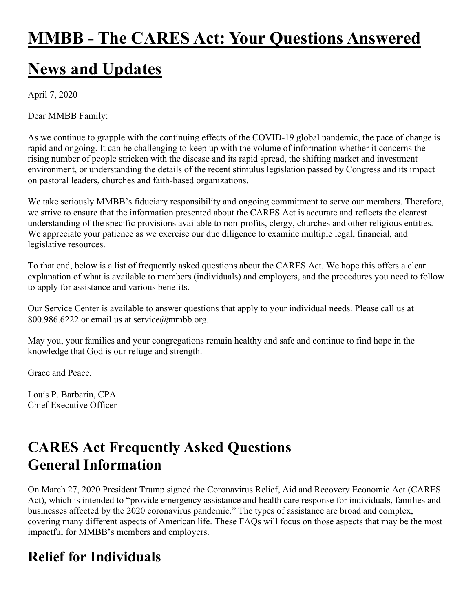# **MMBB - The CARES Act: Your Questions Answered**

# **News and Updates**

April 7, 2020

Dear MMBB Family:

As we continue to grapple with the continuing effects of the COVID-19 global pandemic, the pace of change is rapid and ongoing. It can be challenging to keep up with the volume of information whether it concerns the rising number of people stricken with the disease and its rapid spread, the shifting market and investment environment, or understanding the details of the recent stimulus legislation passed by Congress and its impact on pastoral leaders, churches and faith-based organizations.

We take seriously MMBB's fiduciary responsibility and ongoing commitment to serve our members. Therefore, we strive to ensure that the information presented about the CARES Act is accurate and reflects the clearest understanding of the specific provisions available to non-profits, clergy, churches and other religious entities. We appreciate your patience as we exercise our due diligence to examine multiple legal, financial, and legislative resources.

To that end, below is a list of frequently asked questions about the CARES Act. We hope this offers a clear explanation of what is available to members (individuals) and employers, and the procedures you need to follow to apply for assistance and various benefits.

Our Service Center is available to answer questions that apply to your individual needs. Please call us at 800.986.6222 or email us at service@mmbb.org.

May you, your families and your congregations remain healthy and safe and continue to find hope in the knowledge that God is our refuge and strength.

Grace and Peace,

Louis P. Barbarin, CPA Chief Executive Officer

## **CARES Act Frequently Asked Questions General Information**

On March 27, 2020 President Trump signed the Coronavirus Relief, Aid and Recovery Economic Act (CARES Act), which is intended to "provide emergency assistance and health care response for individuals, families and businesses affected by the 2020 coronavirus pandemic." The types of assistance are broad and complex, covering many different aspects of American life. These FAQs will focus on those aspects that may be the most impactful for MMBB's members and employers.

## **Relief for Individuals**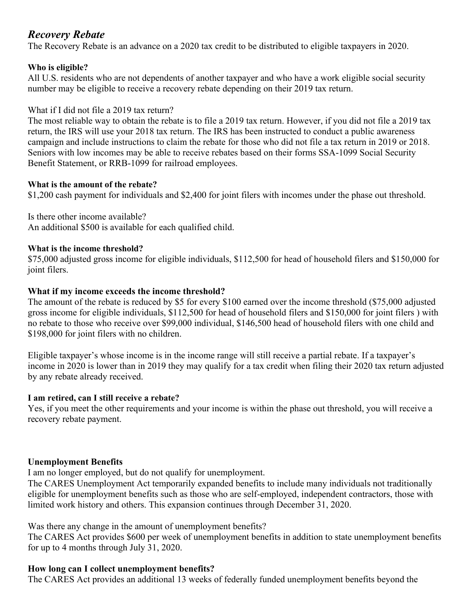### *Recovery Rebate*

The Recovery Rebate is an advance on a 2020 tax credit to be distributed to eligible taxpayers in 2020.

#### **Who is eligible?**

All U.S. residents who are not dependents of another taxpayer and who have a work eligible social security number may be eligible to receive a recovery rebate depending on their 2019 tax return.

#### What if I did not file a 2019 tax return?

The most reliable way to obtain the rebate is to file a 2019 tax return. However, if you did not file a 2019 tax return, the IRS will use your 2018 tax return. The IRS has been instructed to conduct a public awareness campaign and include instructions to claim the rebate for those who did not file a tax return in 2019 or 2018. Seniors with low incomes may be able to receive rebates based on their forms SSA-1099 Social Security Benefit Statement, or RRB-1099 for railroad employees.

#### **What is the amount of the rebate?**

\$1,200 cash payment for individuals and \$2,400 for joint filers with incomes under the phase out threshold.

Is there other income available? An additional \$500 is available for each qualified child.

#### **What is the income threshold?**

\$75,000 adjusted gross income for eligible individuals, \$112,500 for head of household filers and \$150,000 for joint filers.

#### **What if my income exceeds the income threshold?**

The amount of the rebate is reduced by \$5 for every \$100 earned over the income threshold (\$75,000 adjusted gross income for eligible individuals, \$112,500 for head of household filers and \$150,000 for joint filers ) with no rebate to those who receive over \$99,000 individual, \$146,500 head of household filers with one child and \$198,000 for joint filers with no children.

Eligible taxpayer's whose income is in the income range will still receive a partial rebate. If a taxpayer's income in 2020 is lower than in 2019 they may qualify for a tax credit when filing their 2020 tax return adjusted by any rebate already received.

#### **I am retired, can I still receive a rebate?**

Yes, if you meet the other requirements and your income is within the phase out threshold, you will receive a recovery rebate payment.

#### **Unemployment Benefits**

I am no longer employed, but do not qualify for unemployment.

The CARES Unemployment Act temporarily expanded benefits to include many individuals not traditionally eligible for unemployment benefits such as those who are self-employed, independent contractors, those with limited work history and others. This expansion continues through December 31, 2020.

Was there any change in the amount of unemployment benefits?

The CARES Act provides \$600 per week of unemployment benefits in addition to state unemployment benefits for up to 4 months through July 31, 2020.

#### **How long can I collect unemployment benefits?**

The CARES Act provides an additional 13 weeks of federally funded unemployment benefits beyond the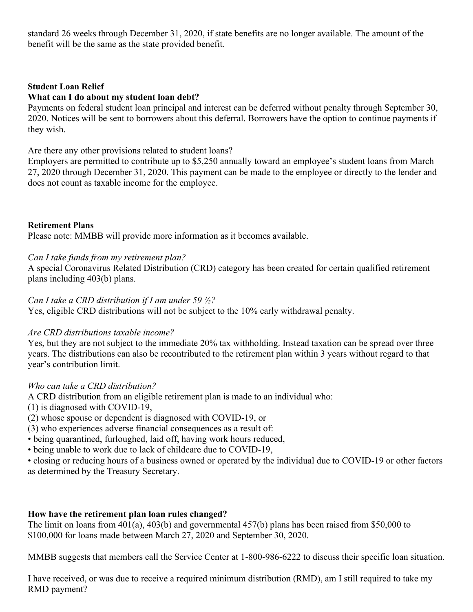standard 26 weeks through December 31, 2020, if state benefits are no longer available. The amount of the benefit will be the same as the state provided benefit.

#### **Student Loan Relief**

#### **What can I do about my student loan debt?**

Payments on federal student loan principal and interest can be deferred without penalty through September 30, 2020. Notices will be sent to borrowers about this deferral. Borrowers have the option to continue payments if they wish.

Are there any other provisions related to student loans?

Employers are permitted to contribute up to \$5,250 annually toward an employee's student loans from March 27, 2020 through December 31, 2020. This payment can be made to the employee or directly to the lender and does not count as taxable income for the employee.

#### **Retirement Plans**

Please note: MMBB will provide more information as it becomes available.

#### *Can I take funds from my retirement plan?*

A special Coronavirus Related Distribution (CRD) category has been created for certain qualified retirement plans including 403(b) plans.

#### *Can I take a CRD distribution if I am under 59 ½?*

Yes, eligible CRD distributions will not be subject to the 10% early withdrawal penalty.

#### *Are CRD distributions taxable income?*

Yes, but they are not subject to the immediate 20% tax withholding. Instead taxation can be spread over three years. The distributions can also be recontributed to the retirement plan within 3 years without regard to that year's contribution limit.

#### *Who can take a CRD distribution?*

A CRD distribution from an eligible retirement plan is made to an individual who:

(1) is diagnosed with COVID-19,

(2) whose spouse or dependent is diagnosed with COVID-19, or

(3) who experiences adverse financial consequences as a result of:

• being quarantined, furloughed, laid off, having work hours reduced,

• being unable to work due to lack of childcare due to COVID-19,

• closing or reducing hours of a business owned or operated by the individual due to COVID-19 or other factors as determined by the Treasury Secretary.

#### **How have the retirement plan loan rules changed?**

The limit on loans from 401(a), 403(b) and governmental 457(b) plans has been raised from \$50,000 to \$100,000 for loans made between March 27, 2020 and September 30, 2020.

MMBB suggests that members call the Service Center at 1-800-986-6222 to discuss their specific loan situation.

I have received, or was due to receive a required minimum distribution (RMD), am I still required to take my RMD payment?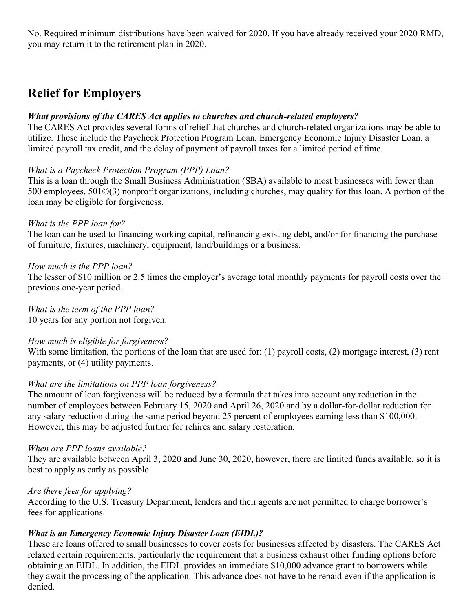No. Required minimum distributions have been waived for 2020. If you have already received your 2020 RMD, you may return it to the retirement plan in 2020.

## **Relief for Employers**

#### *What provisions of the CARES Act applies to churches and church-related employers?*

The CARES Act provides several forms of relief that churches and church-related organizations may be able to utilize. These include the Paycheck Protection Program Loan, Emergency Economic Injury Disaster Loan, a limited payroll tax credit, and the delay of payment of payroll taxes for a limited period of time.

#### *What is a Paycheck Protection Program (PPP) Loan?*

This is a loan through the Small Business Administration (SBA) available to most businesses with fewer than 500 employees. 501©(3) nonprofit organizations, including churches, may qualify for this loan. A portion of the loan may be eligible for forgiveness.

#### *What is the PPP loan for?*

The loan can be used to financing working capital, refinancing existing debt, and/or for financing the purchase of furniture, fixtures, machinery, equipment, land/buildings or a business.

#### *How much is the PPP loan?*

The lesser of \$10 million or 2.5 times the employer's average total monthly payments for payroll costs over the previous one-year period.

*What is the term of the PPP loan?*

10 years for any portion not forgiven.

#### *How much is eligible for forgiveness?*

With some limitation, the portions of the loan that are used for: (1) payroll costs, (2) mortgage interest, (3) rent payments, or (4) utility payments.

#### *What are the limitations on PPP loan forgiveness?*

The amount of loan forgiveness will be reduced by a formula that takes into account any reduction in the number of employees between February 15, 2020 and April 26, 2020 and by a dollar-for-dollar reduction for any salary reduction during the same period beyond 25 percent of employees earning less than \$100,000. However, this may be adjusted further for rehires and salary restoration.

#### *When are PPP loans available?*

They are available between April 3, 2020 and June 30, 2020, however, there are limited funds available, so it is best to apply as early as possible.

#### *Are there fees for applying?*

According to the U.S. Treasury Department, lenders and their agents are not permitted to charge borrower's fees for applications.

#### *What is an Emergency Economic Injury Disaster Loan (EIDL)?*

These are loans offered to small businesses to cover costs for businesses affected by disasters. The CARES Act relaxed certain requirements, particularly the requirement that a business exhaust other funding options before obtaining an EIDL. In addition, the EIDL provides an immediate \$10,000 advance grant to borrowers while they await the processing of the application. This advance does not have to be repaid even if the application is denied.